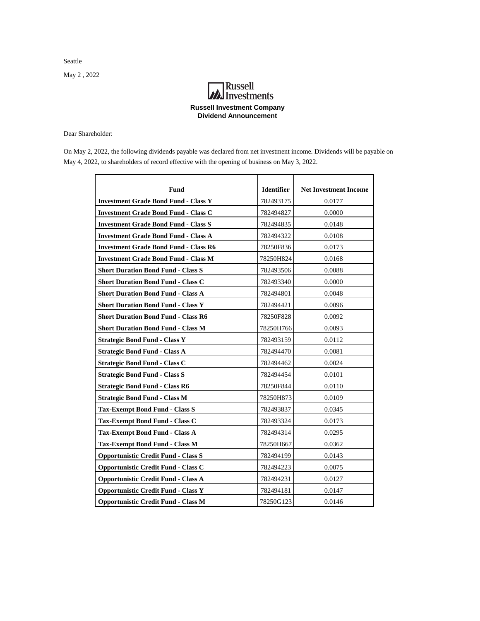Seattle

May 2 , 2022

## **MA**<br>Investments **Russell Investment Company Dividend Announcement**

Dear Shareholder:

On May 2, 2022, the following dividends payable was declared from net investment income. Dividends will be payable on May 4, 2022, to shareholders of record effective with the opening of business on May 3, 2022.

| Fund                                         | <b>Identifier</b> | <b>Net Investment Income</b> |
|----------------------------------------------|-------------------|------------------------------|
| <b>Investment Grade Bond Fund - Class Y</b>  | 782493175         | 0.0177                       |
| <b>Investment Grade Bond Fund - Class C</b>  | 782494827         | 0.0000                       |
| <b>Investment Grade Bond Fund - Class S</b>  | 782494835         | 0.0148                       |
| <b>Investment Grade Bond Fund - Class A</b>  | 782494322         | 0.0108                       |
| <b>Investment Grade Bond Fund - Class R6</b> | 78250F836         | 0.0173                       |
| <b>Investment Grade Bond Fund - Class M</b>  | 78250H824         | 0.0168                       |
| <b>Short Duration Bond Fund - Class S</b>    | 782493506         | 0.0088                       |
| <b>Short Duration Bond Fund - Class C</b>    | 782493340         | 0.0000                       |
| <b>Short Duration Bond Fund - Class A</b>    | 782494801         | 0.0048                       |
| <b>Short Duration Bond Fund - Class Y</b>    | 782494421         | 0.0096                       |
| <b>Short Duration Bond Fund - Class R6</b>   | 78250F828         | 0.0092                       |
| <b>Short Duration Bond Fund - Class M</b>    | 78250H766         | 0.0093                       |
| <b>Strategic Bond Fund - Class Y</b>         | 782493159         | 0.0112                       |
| <b>Strategic Bond Fund - Class A</b>         | 782494470         | 0.0081                       |
| <b>Strategic Bond Fund - Class C</b>         | 782494462         | 0.0024                       |
| <b>Strategic Bond Fund - Class S</b>         | 782494454         | 0.0101                       |
| <b>Strategic Bond Fund - Class R6</b>        | 78250F844         | 0.0110                       |
| <b>Strategic Bond Fund - Class M</b>         | 78250H873         | 0.0109                       |
| <b>Tax-Exempt Bond Fund - Class S</b>        | 782493837         | 0.0345                       |
| Tax-Exempt Bond Fund - Class C               | 782493324         | 0.0173                       |
| Tax-Exempt Bond Fund - Class A               | 782494314         | 0.0295                       |
| Tax-Exempt Bond Fund - Class M               | 78250H667         | 0.0362                       |
| <b>Opportunistic Credit Fund - Class S</b>   | 782494199         | 0.0143                       |
| <b>Opportunistic Credit Fund - Class C</b>   | 782494223         | 0.0075                       |
| <b>Opportunistic Credit Fund - Class A</b>   | 782494231         | 0.0127                       |
| <b>Opportunistic Credit Fund - Class Y</b>   | 782494181         | 0.0147                       |
| <b>Opportunistic Credit Fund - Class M</b>   | 78250G123         | 0.0146                       |